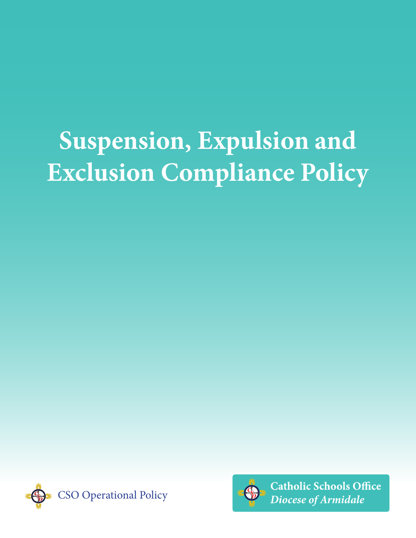# **Suspension, Expulsion and Exclusion Compliance Policy**





**Catholic Schools Office** *Diocese of Armidale*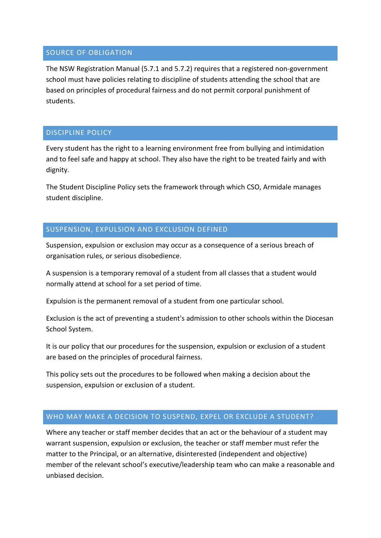### SOURCE OF OBLIGATION

The NSW Registration Manual (5.7.1 and 5.7.2) requires that a registered non-government school must have policies relating to discipline of students attending the school that are based on principles of procedural fairness and do not permit corporal punishment of students.

### DISCIPLINE POLICY

Every student has the right to a learning environment free from bullying and intimidation and to feel safe and happy at school. They also have the right to be treated fairly and with dignity.

The Student Discipline Policy sets the framework through which CSO, Armidale manages student discipline.

## SUSPENSION, EXPULSION AND EXCLUSION DEFINED

Suspension, expulsion or exclusion may occur as a consequence of a serious breach of organisation rules, or serious disobedience.

A suspension is a temporary removal of a student from all classes that a student would normally attend at school for a set period of time.

Expulsion is the permanent removal of a student from one particular school.

Exclusion is the act of preventing a student's admission to other schools within the Diocesan School System.

It is our policy that our procedures for the suspension, expulsion or exclusion of a student are based on the principles of procedural fairness.

This policy sets out the procedures to be followed when making a decision about the suspension, expulsion or exclusion of a student.

## WHO MAY MAKE A DECISION TO SUSPEND, EXPEL OR EXCLUDE A STUDENT?

Where any teacher or staff member decides that an act or the behaviour of a student may warrant suspension, expulsion or exclusion, the teacher or staff member must refer the matter to the Principal, or an alternative, disinterested (independent and objective) member of the relevant school's executive/leadership team who can make a reasonable and unbiased decision.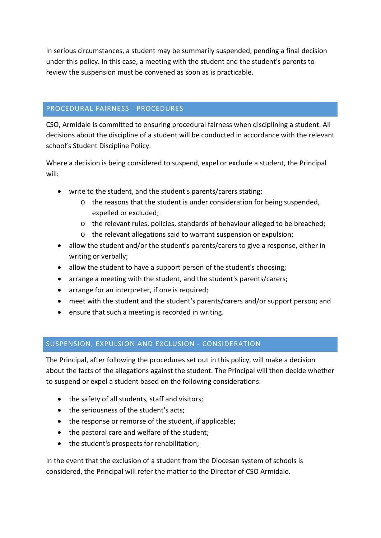In serious circumstances, a student may be summarily suspended, pending a final decision under this policy. In this case, a meeting with the student and the student's parents to review the suspension must be convened as soon as is practicable.

## PROCEDURAL FAIRNESS - PROCEDURES

CSO, Armidale is committed to ensuring procedural fairness when disciplining a student. All decisions about the discipline of a student will be conducted in accordance with the relevant school's Student Discipline Policy.

Where a decision is being considered to suspend, expel or exclude a student, the Principal will:

- write to the student, and the student's parents/carers stating:
	- o the reasons that the student is under consideration for being suspended, expelled or excluded;
	- o the relevant rules, policies, standards of behaviour alleged to be breached;
	- o the relevant allegations said to warrant suspension or expulsion;
- allow the student and/or the student's parents/carers to give a response, either in writing or verbally;
- allow the student to have a support person of the student's choosing;
- arrange a meeting with the student, and the student's parents/carers;
- arrange for an interpreter, if one is required;
- meet with the student and the student's parents/carers and/or support person; and
- ensure that such a meeting is recorded in writing.

## SUSPENSION, EXPULSION AND EXCLUSION - CONSIDERATION

The Principal, after following the procedures set out in this policy, will make a decision about the facts of the allegations against the student. The Principal will then decide whether to suspend or expel a student based on the following considerations:

- the safety of all students, staff and visitors;
- the seriousness of the student's acts;
- the response or remorse of the student, if applicable;
- the pastoral care and welfare of the student;
- the student's prospects for rehabilitation;

In the event that the exclusion of a student from the Diocesan system of schools is considered, the Principal will refer the matter to the Director of CSO Armidale.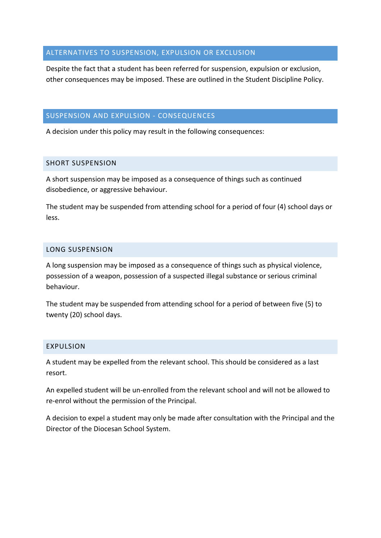## ALTERNATIVES TO SUSPENSION, EXPULSION OR EXCLUSION

Despite the fact that a student has been referred for suspension, expulsion or exclusion, other consequences may be imposed. These are outlined in the Student Discipline Policy.

## SUSPENSION AND EXPULSION - CONSEQUENCES

A decision under this policy may result in the following consequences:

## SHORT SUSPENSION

A short suspension may be imposed as a consequence of things such as continued disobedience, or aggressive behaviour.

The student may be suspended from attending school for a period of four (4) school days or less.

#### LONG SUSPENSION

A long suspension may be imposed as a consequence of things such as physical violence, possession of a weapon, possession of a suspected illegal substance or serious criminal behaviour.

The student may be suspended from attending school for a period of between five (5) to twenty (20) school days.

#### EXPULSION

A student may be expelled from the relevant school. This should be considered as a last resort.

An expelled student will be un-enrolled from the relevant school and will not be allowed to re-enrol without the permission of the Principal.

A decision to expel a student may only be made after consultation with the Principal and the Director of the Diocesan School System.